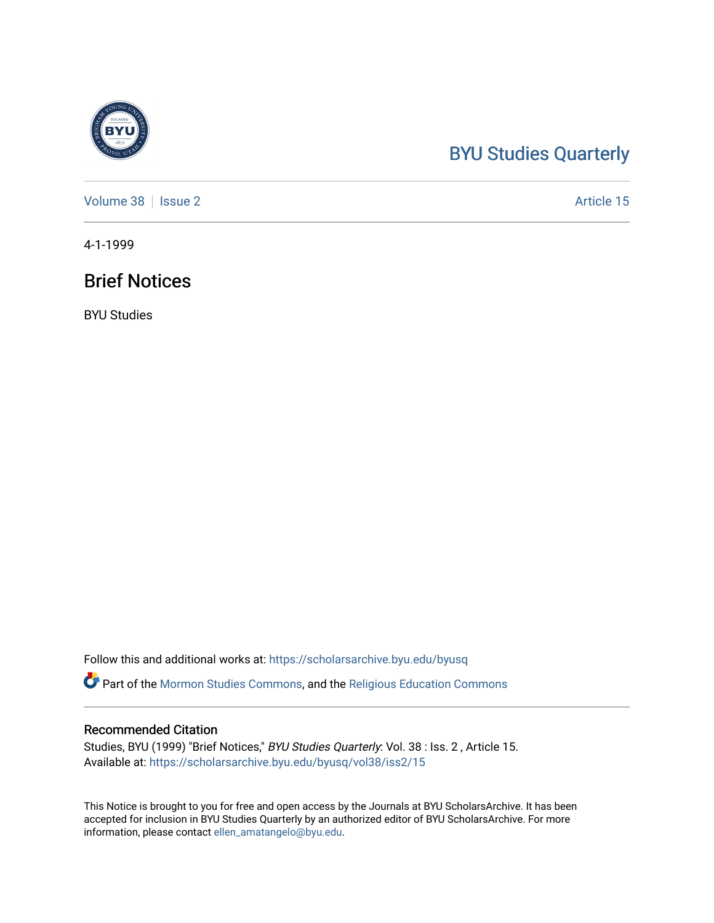## [BYU Studies Quarterly](https://scholarsarchive.byu.edu/byusq)

[Volume 38](https://scholarsarchive.byu.edu/byusq/vol38) | [Issue 2](https://scholarsarchive.byu.edu/byusq/vol38/iss2) Article 15

4-1-1999

## Brief Notices

BYU Studies

Follow this and additional works at: [https://scholarsarchive.byu.edu/byusq](https://scholarsarchive.byu.edu/byusq?utm_source=scholarsarchive.byu.edu%2Fbyusq%2Fvol38%2Fiss2%2F15&utm_medium=PDF&utm_campaign=PDFCoverPages) 

Part of the [Mormon Studies Commons](http://network.bepress.com/hgg/discipline/1360?utm_source=scholarsarchive.byu.edu%2Fbyusq%2Fvol38%2Fiss2%2F15&utm_medium=PDF&utm_campaign=PDFCoverPages), and the [Religious Education Commons](http://network.bepress.com/hgg/discipline/1414?utm_source=scholarsarchive.byu.edu%2Fbyusq%2Fvol38%2Fiss2%2F15&utm_medium=PDF&utm_campaign=PDFCoverPages) 

## Recommended Citation

Studies, BYU (1999) "Brief Notices," BYU Studies Quarterly: Vol. 38 : Iss. 2 , Article 15. Available at: [https://scholarsarchive.byu.edu/byusq/vol38/iss2/15](https://scholarsarchive.byu.edu/byusq/vol38/iss2/15?utm_source=scholarsarchive.byu.edu%2Fbyusq%2Fvol38%2Fiss2%2F15&utm_medium=PDF&utm_campaign=PDFCoverPages) 

This Notice is brought to you for free and open access by the Journals at BYU ScholarsArchive. It has been accepted for inclusion in BYU Studies Quarterly by an authorized editor of BYU ScholarsArchive. For more information, please contact [ellen\\_amatangelo@byu.edu.](mailto:ellen_amatangelo@byu.edu)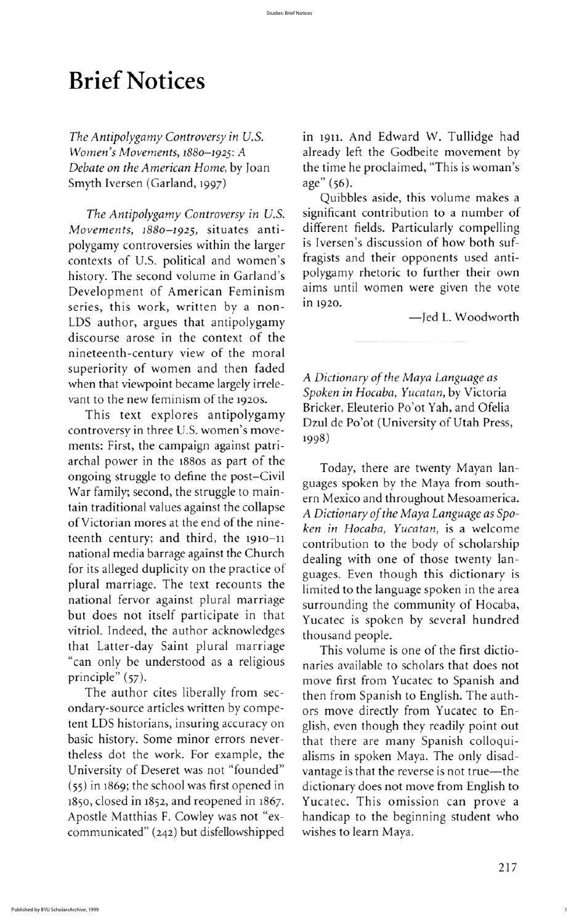Quibbles aside, this volume makes a The Antipolygamy Controversy in U.S. significant contribution to a number of different fields. Particularly compelling is Iversen's discussion of how both suffragists and their opponents used anti-

vant to the new feminism of the 1920s.<br>This text explores antipolygamy Bricker, Eleuterio Po'ot Yah, and Ofelia Dzul de Po'ot (University of Utah Press,

guages spoken by the Maya from southern Mexico and throughout Mesoamerica ken in Hocaba, Yucatan, is a welcome guages. Even though this dictionary is limited to the language spoken in the area

naries available to scholars that does not then from Spanish to English. The authors move directly from Yucatec to English, even though they readily point out handicap to the beginning student who

217

1

## **Brief Notices**

Smyth Iversen (Garland, 1997)  $\qquad \qquad$  age" (56).

Movements, 1880-1925, situates antipolygamy controversies within the larger contexts of U.S. political and women's history. The second volume in Garland's polygamy rhetoric to further their own<br>Development of American Feminism aims until women were given the vote Development of American Feminism aims until aims until work written by a non-<br>in 1920. series, this work, written by a non-LDS author, argues that antipolygamy -Jed L. Woodworth discourse arose in the context of the nineteenth century view of the moral superiority of women and then faded when that viewpoint became largely irrele-<br>Spoken in Hocaba, Yucatan, by Victoria

controversy in three U.S. women's movements: First, the campaign against patri-<br>ments: First, the campaign against patriarchal power in the  $1880s$  as part of the Today, there are twenty Mayan lanongoing struggle to define the post-Civil War family; second, the struggle to maintain traditional values against the collapse tain traditional values against the conapse A Dictionary of the Maya Language as Spo-<br>of Victorian mores at the end of the nineteenth century; and third, the  $1910-11$  contribution to the body of scholarship national media barrage against the Church dealing with one of those twenty lanfor its alleged duplicity on the practice of plural marriage. The text recounts the national fervor against plural marriage surrounding the community of Hocaba, but does not itself participate in that Yucatec is spoken by several hundred vitriol. Indeed, the author acknowledges thousand people. that Latter-day Saint plural marriage This volume is one of the first dictio-"can only be understood as a religious naries available to scholars that does not principle" (57).<br>The author cites liberally from sec-<br>then from Spanish to English. The authondary-source articles written by competent LDS historians, insuring accuracy on basic history. Some minor errors never-<br>that there are many Spanish colloquitheless dot the work. For example, the alisms in spoken Maya. The only disad-University of Deseret was not "founded" vantage is that the reverse is not true—the  $(55)$  in 1869; the school was first opened in dictionary does not move from English to 1850, closed in 1852, and reopened in 1867. Yucatec. This omission can prove a Apostle Matthias F. Cowley was not "excommunicated" (242) but disfellowshipped wishes to learn Maya

The Antipolygamy Controversy in U.S. in 1911. And Edward W. Tullidge had Women's Movements, 1880–1925: A already left the Godbeite movement by<br>Debate on the American Home, by Joan the time he proclaimed, "This is woman's the time he proclaimed, "This is woman's